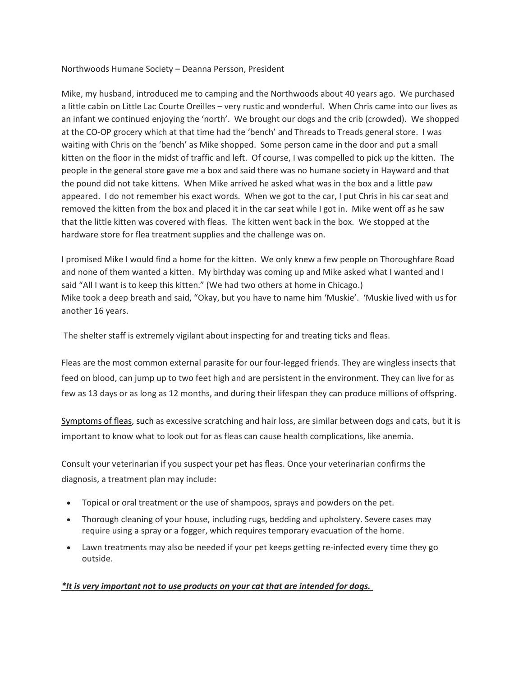Northwoods Humane Society – Deanna Persson, President

Mike, my husband, introduced me to camping and the Northwoods about 40 years ago. We purchased a little cabin on Little Lac Courte Oreilles – very rustic and wonderful. When Chris came into our lives as an infant we continued enjoying the 'north'. We brought our dogs and the crib (crowded). We shopped at the CO-OP grocery which at that time had the 'bench' and Threads to Treads general store. I was waiting with Chris on the 'bench' as Mike shopped. Some person came in the door and put a small kitten on the floor in the midst of traffic and left. Of course, I was compelled to pick up the kitten. The people in the general store gave me a box and said there was no humane society in Hayward and that the pound did not take kittens. When Mike arrived he asked what was in the box and a little paw appeared. I do not remember his exact words. When we got to the car, I put Chris in his car seat and removed the kitten from the box and placed it in the car seat while I got in. Mike went off as he saw that the little kitten was covered with fleas. The kitten went back in the box. We stopped at the hardware store for flea treatment supplies and the challenge was on.

I promised Mike I would find a home for the kitten. We only knew a few people on Thoroughfare Road and none of them wanted a kitten. My birthday was coming up and Mike asked what I wanted and I said "All I want is to keep this kitten." (We had two others at home in Chicago.) Mike took a deep breath and said, "Okay, but you have to name him 'Muskie'. 'Muskie lived with us for another 16 years.

The shelter staff is extremely vigilant about inspecting for and treating ticks and fleas.

Fleas are the most common external parasite for our four-legged friends. They are wingless insects that feed on blood, can jump up to two feet high and are persistent in the environment. They can live for as few as 13 days or as long as 12 months, and during their lifespan they can produce millions of offspring.

[Symptoms of fleas,](https://www.aspca.org/pet-care/general-pet-care/fleas-and-ticks) such as excessive scratching and hair loss, are similar between dogs and cats, but it is important to know what to look out for as fleas can cause health complications, like anemia.

Consult your veterinarian if you suspect your pet has fleas. Once your veterinarian confirms the diagnosis, a treatment plan may include:

- Topical or oral treatment or the use of shampoos, sprays and powders on the pet.
- Thorough cleaning of your house, including rugs, bedding and upholstery. Severe cases may require using a spray or a fogger, which requires temporary evacuation of the home.
- Lawn treatments may also be needed if your pet keeps getting re-infected every time they go outside.

## *\*It is very important not to use products on your cat that are intended for dogs.*